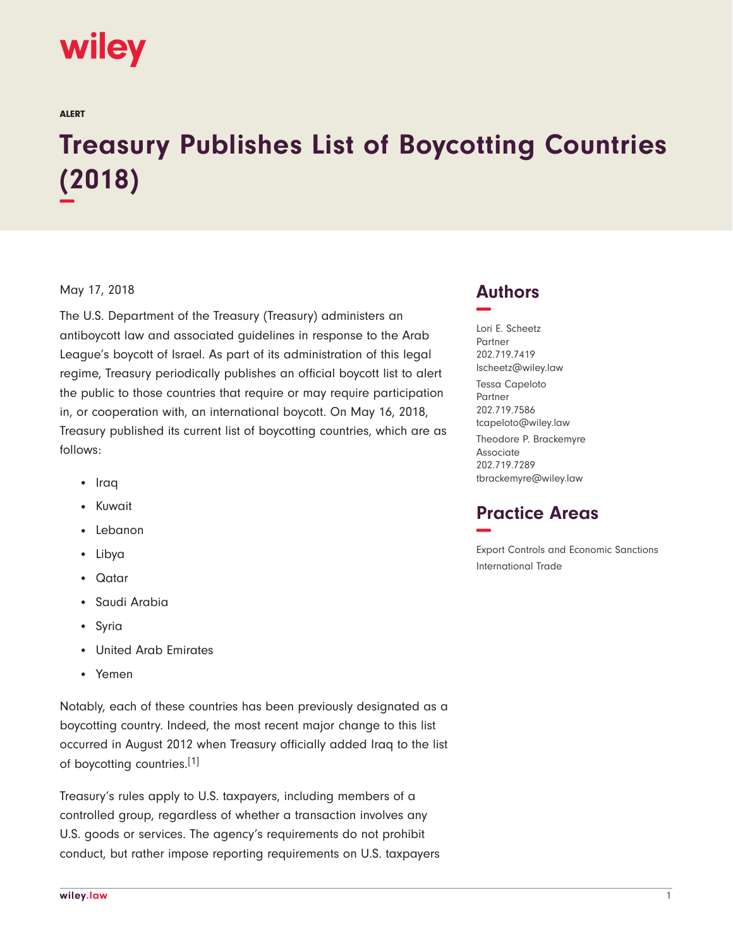

ALERT

## **Treasury Publishes List of Boycotting Countries (2018) −**

## May 17, 2018

The U.S. Department of the Treasury (Treasury) administers an antiboycott law and associated guidelines in response to the Arab League's boycott of Israel. As part of its administration of this legal regime, Treasury periodically publishes an official boycott list to alert the public to those countries that require or may require participation in, or cooperation with, an international boycott. On May 16, 2018, Treasury published its current list of boycotting countries, which are as follows:

- Iraq
- Kuwait
- Lebanon
- Libya
- Qatar
- Saudi Arabia
- Syria
- United Arab Emirates
- Yemen

Notably, each of these countries has been previously designated as a boycotting country. Indeed, the most recent major change to this list occurred in August 2012 when Treasury officially added Iraq to the list of boycotting countries.[1]

Treasury's rules apply to U.S. taxpayers, including members of a controlled group, regardless of whether a transaction involves any U.S. goods or services. The agency's requirements do not prohibit conduct, but rather impose reporting requirements on U.S. taxpayers

## **Authors −**

Lori E. Scheetz Partner 202.719.7419 lscheetz@wiley.law Tessa Capeloto Partner 202.719.7586 tcapeloto@wiley.law Theodore P. Brackemyre Associate 202.719.7289 tbrackemyre@wiley.law

## **Practice Areas −**

Export Controls and Economic Sanctions International Trade